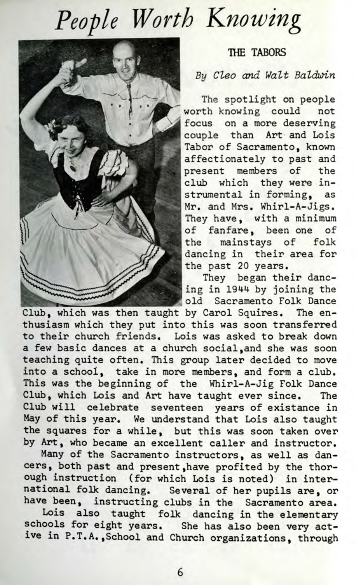## *People Worth Knowing*



## **THE TABORS**

## By Cleo and Walt Baldwin

The spotlight on people worth knowing could not focus on a more deserving couple than Art and Lois Tabor of Sacramento, known affectionately to past and present members of the club which they were instrumental in forming, as Mr. and Mrs. Whirl-A-Jigs. They have, with a minimum of fanfare, been one of the mainstays of folk dancing in their area for the past 20 years.

They began their dancing in 1944 by joining the old Sacramento Folk Dance

Club, which was then taught by Carol Squires. The enthusiasm which they put into this was soon transferred to their church friends. Lois was asked to break down a few basic dances at a church social,and she was soon teaching quite often. This group later decided to move into a school, take in more members, and form a club. This was the beginning of the Whirl-A-Jig Folk Dance Club, which Lois and Art have taught ever since. The Club will celebrate seventeen years of existance in May of this year. We understand that Lois also taught the squares for a while, but this was soon taken over by Art, who became an excellent caller and instructor.

Many of the Sacramento instructors, as well as dancers, both past and present,have profited by the thorough instruction (for which Lois is noted) in international folk dancing. Several of her pupils are, or have been, instructing clubs in the Sacramento area.

Lois also taught folk dancing in the elementary schools for eight years. She has also been very active in P.T.A.,School and Church organizations, through